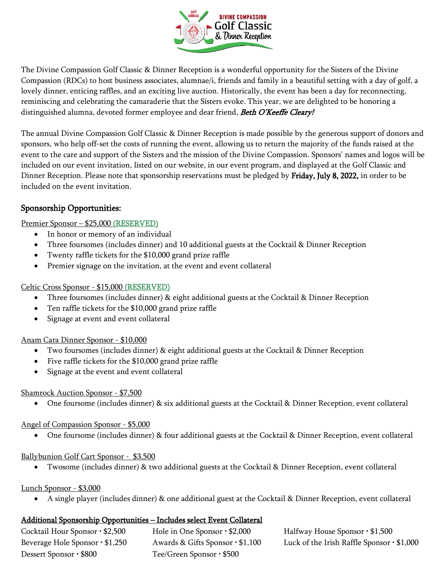

The Divine Compassion Golf Classic & Dinner Reception is a wonderful opportunity for the Sisters of the Divine Compassion (RDCs) to host business associates, alumnae/i, friends and family in a beautiful setting with a day of golf, a lovely dinner, enticing raffles, and an exciting live auction. Historically, the event has been a day for reconnecting, reminiscing and celebrating the camaraderie that the Sisters evoke. This year, we are delighted to be honoring a distinguished alumna, devoted former employee and dear friend, Beth O'Keeffe Cleary!

The annual Divine Compassion Golf Classic & Dinner Reception is made possible by the generous support of donors and sponsors, who help off-set the costs of running the event, allowing us to return the majority of the funds raised at the event to the care and support of the Sisters and the mission of the Divine Compassion. Sponsors' names and logos will be included on our event invitation, listed on our website, in our event program, and displayed at the Golf Classic and Dinner Reception. Please note that sponsorship reservations must be pledged by Friday, July 8, 2022, in order to be included on the event invitation.

### Sponsorship Opportunities:

#### Premier Sponsor – \$25,000 (RESERVED)

- In honor or memory of an individual
- Three foursomes (includes dinner) and 10 additional guests at the Cocktail & Dinner Reception
- Twenty raffle tickets for the \$10,000 grand prize raffle
- Premier signage on the invitation, at the event and event collateral

#### Celtic Cross Sponsor - \$15,000 (RESERVED)

- Three foursomes (includes dinner) & eight additional guests at the Cocktail & Dinner Reception
- Ten raffle tickets for the \$10,000 grand prize raffle
- Signage at event and event collateral

#### Anam Cara Dinner Sponsor - \$10,000

- Two foursomes (includes dinner) & eight additional guests at the Cocktail & Dinner Reception
- Five raffle tickets for the \$10,000 grand prize raffle
- Signage at the event and event collateral

#### Shamrock Auction Sponsor - \$7,500

• One foursome (includes dinner) & six additional guests at the Cocktail & Dinner Reception, event collateral

#### Angel of Compassion Sponsor - \$5,000

• One foursome (includes dinner) & four additional guests at the Cocktail & Dinner Reception, event collateral

#### Ballybunion Golf Cart Sponsor - \$3,500

• Twosome (includes dinner) & two additional guests at the Cocktail & Dinner Reception, event collateral

#### Lunch Sponsor - \$3,000

• A single player (includes dinner) & one additional guest at the Cocktail & Dinner Reception, event collateral

#### Additional Sponsorship Opportunities – Includes select Event Collateral

| Cocktail Hour Sponsor · \$2,500 | Hole in One Sponsor $\cdot$ \$2, |
|---------------------------------|----------------------------------|
| Beverage Hole Sponsor · \$1,250 | Awards & Gifts Sponsor ·         |
| Dessert Sponsor • \$800         | Tee/Green Sponsor · \$500        |

 $\text{Or } \cdot $2,000$  Halfway House Sponsor  $\cdot $1,500$  $\text{D}}$  Beverage Hole Sponsor • \$1,000 Luck of the Irish Raffle Sponsor • \$1,000